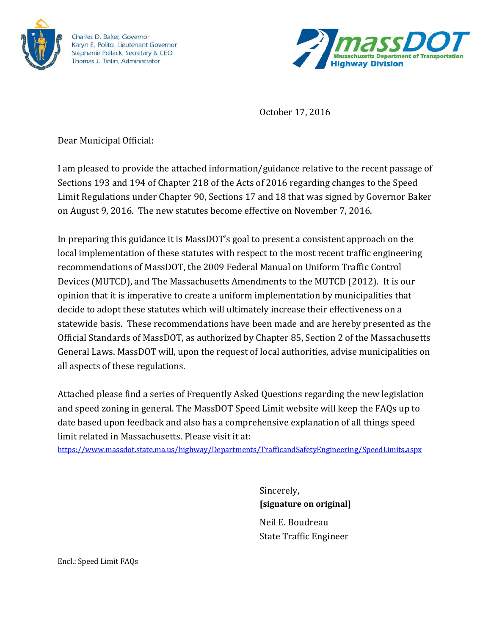

Charles D. Baker, Governor Karyn E. Polito, Lieutenant Governor Stephanie Pollack, Secretary & CEO Thomas J. Tinlin, Administrator



October 17, 2016

Dear Municipal Official:

I am pleased to provide the attached information/guidance relative to the recent passage of Sections 193 and 194 of Chapter 218 of the Acts of 2016 regarding changes to the Speed Limit Regulations under Chapter 90, Sections 17 and 18 that was signed by Governor Baker on August 9, 2016. The new statutes become effective on November 7, 2016.

In preparing this guidance it is MassDOT's goal to present a consistent approach on the local implementation of these statutes with respect to the most recent traffic engineering recommendations of MassDOT, the 2009 Federal Manual on Uniform Traffic Control Devices (MUTCD), and The Massachusetts Amendments to the MUTCD (2012). It is our opinion that it is imperative to create a uniform implementation by municipalities that decide to adopt these statutes which will ultimately increase their effectiveness on a statewide basis. These recommendations have been made and are hereby presented as the Official Standards of MassDOT, as authorized by Chapter 85, Section 2 of the Massachusetts General Laws. MassDOT will, upon the request of local authorities, advise municipalities on all aspects of these regulations.

Attached please find a series of Frequently Asked Questions regarding the new legislation and speed zoning in general. The MassDOT Speed Limit website will keep the FAQs up to date based upon feedback and also has a comprehensive explanati on of all things speed limit related in Massachusetts. Please visit it at:

https://www.massdot.state.ma.us/highway/Departments/TrafficandSafetyEngineering/SpeedLimits.aspx

Sincerely, **[signature on original]** Neil E. Boudreau State Traffic Engineer

Encl.: Speed Limit FAQs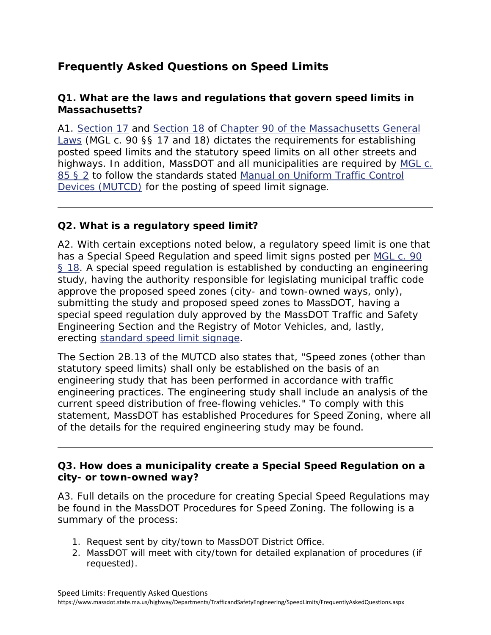# **Frequently Asked Questions on Speed Limits**

### **Q1. What are the laws and regulations that govern speed limits in Massachusetts?**

A1. Section 17 and Section 18 of Chapter 90 of the Massachusetts General Laws (MGL c. 90 §§ 17 and 18) dictates the requirements for establishing posted speed limits and the statutory speed limits on all other streets and highways. In addition, MassDOT and all municipalities are required by MGL c. 85 § 2 to follow the standards stated *Manual on Uniform Traffic Control Devices* (MUTCD) for the posting of speed limit signage.

## **Q2. What is a regulatory speed limit?**

A2. With certain exceptions noted below, a regulatory speed limit is one that has a Special Speed Regulation and speed limit signs posted per MGL c. 90 § 18. A special speed regulation is established by conducting an engineering study, having the authority responsible for legislating municipal traffic code approve the proposed speed zones (city- and town-owned ways, only), submitting the study and proposed speed zones to MassDOT, having a special speed regulation duly approved by the MassDOT Traffic and Safety Engineering Section and the Registry of Motor Vehicles, and, lastly, erecting standard speed limit signage.

The Section 2B.13 of the MUTCD also states that, "Speed zones (other than statutory speed limits) shall only be established on the basis of an engineering study that has been performed in accordance with traffic engineering practices. The engineering study shall include an analysis of the current speed distribution of free-flowing vehicles." To comply with this statement, MassDOT has established Procedures for Speed Zoning, where all of the details for the required engineering study may be found.

## **Q3. How does a municipality create a Special Speed Regulation on a city- or town-owned way?**

A3. Full details on the procedure for creating Special Speed Regulations may be found in the MassDOT Procedures for Speed Zoning. The following is a summary of the process:

- 1. Request sent by city/town to MassDOT District Office.
- 2. MassDOT will meet with city/town for detailed explanation of procedures (if requested).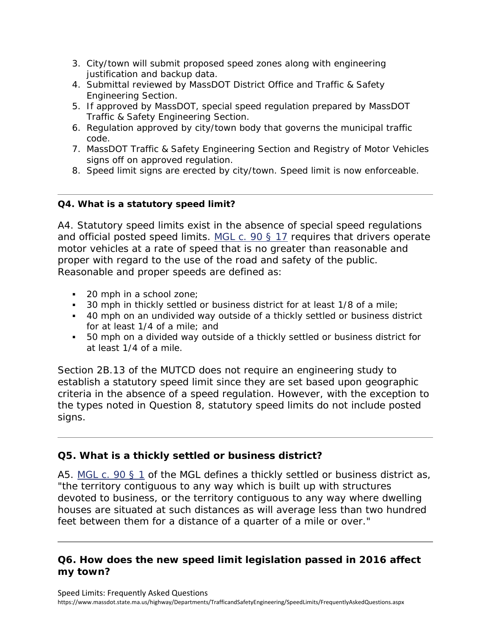- 3. City/town will submit proposed speed zones along with engineering justification and backup data.
- 4. Submittal reviewed by MassDOT District Office and Traffic & Safety Engineering Section.
- 5. If approved by MassDOT, special speed regulation prepared by MassDOT Traffic & Safety Engineering Section.
- 6. Regulation approved by city/town body that governs the municipal traffic code.
- 7. MassDOT Traffic & Safety Engineering Section and Registry of Motor Vehicles signs off on approved regulation.
- 8. Speed limit signs are erected by city/town. Speed limit is now enforceable.

#### **Q4. What is a statutory speed limit?**

A4. Statutory speed limits exist in the absence of special speed regulations and official posted speed limits. MGL c. 90 § 17 requires that drivers operate motor vehicles at a rate of speed that is no greater than reasonable and proper with regard to the use of the road and safety of the public. Reasonable and proper speeds are defined as:

- 20 mph in a school zone;
- **30 mph in thickly settled or business district for at least 1/8 of a mile;**
- 40 mph on an undivided way outside of a thickly settled or business district for at least 1/4 of a mile; and
- 50 mph on a divided way outside of a thickly settled or business district for at least 1/4 of a mile.

Section 2B.13 of the MUTCD does not require an engineering study to establish a statutory speed limit since they are set based upon geographic criteria in the absence of a speed regulation. However, with the exception to the types noted in Question 8, statutory speed limits do not include posted signs.

# **Q5. What is a thickly settled or business district?**

A5. MGL c. 90 § 1 of the MGL defines a thickly settled or business district as, "the territory contiguous to any way which is built up with structures devoted to business, or the territory contiguous to any way where dwelling houses are situated at such distances as will average less than two hundred feet between them for a distance of a quarter of a mile or over."

## **Q6. How does the new speed limit legislation passed in 2016 affect my town?**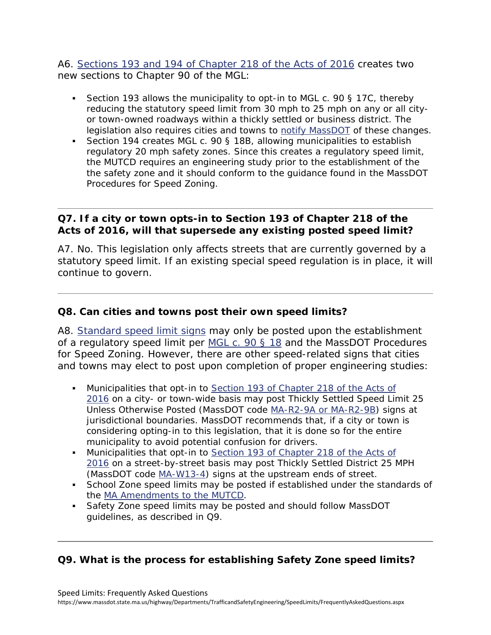A6. Sections 193 and 194 of Chapter 218 of the Acts of 2016 creates two new sections to Chapter 90 of the MGL:

- Section 193 allows the municipality to opt-in to MGL c. 90 § 17C, thereby reducing the statutory speed limit from 30 mph to 25 mph on any or all cityor town-owned roadways within a thickly settled or business district. The legislation also requires cities and towns to notify MassDOT of these changes.
- Section 194 creates MGL c. 90 § 18B, allowing municipalities to establish regulatory 20 mph safety zones. Since this creates a regulatory speed limit, the MUTCD requires an engineering study prior to the establishment of the the safety zone and it should conform to the guidance found in the MassDOT Procedures for Speed Zoning.

### **Q7. If a city or town opts-in to Section 193 of Chapter 218 of the Acts of 2016, will that supersede any existing posted speed limit?**

A7. No. This legislation only affects streets that are currently governed by a statutory speed limit. If an existing special speed regulation is in place, it will continue to govern.

### **Q8. Can cities and towns post their own speed limits?**

A8. Standard speed limit signs may only be posted upon the establishment of a regulatory speed limit per MGL c. 90 § 18 and the MassDOT Procedures for Speed Zoning. However, there are other speed-related signs that cities and towns may elect to post upon completion of proper engineering studies:

- Municipalities that opt-in to Section 193 of Chapter 218 of the Acts of 2016 on a city- or town-wide basis may post Thickly Settled Speed Limit 25 Unless Otherwise Posted (MassDOT code MA-R2-9A or MA-R2-9B) signs at jurisdictional boundaries. MassDOT recommends that, if a city or town is considering opting-in to this legislation, that it is done so for the entire municipality to avoid potential confusion for drivers.
- Municipalities that opt-in to Section 193 of Chapter 218 of the Acts of 2016 on a street-by-street basis may post Thickly Settled District 25 MPH (MassDOT code MA-W13-4) signs at the upstream ends of street.
- School Zone speed limits may be posted if established under the standards of the MA Amendments to the MUTCD.
- Safety Zone speed limits may be posted and should follow MassDOT guidelines, as described in Q9.

### **Q9. What is the process for establishing Safety Zone speed limits?**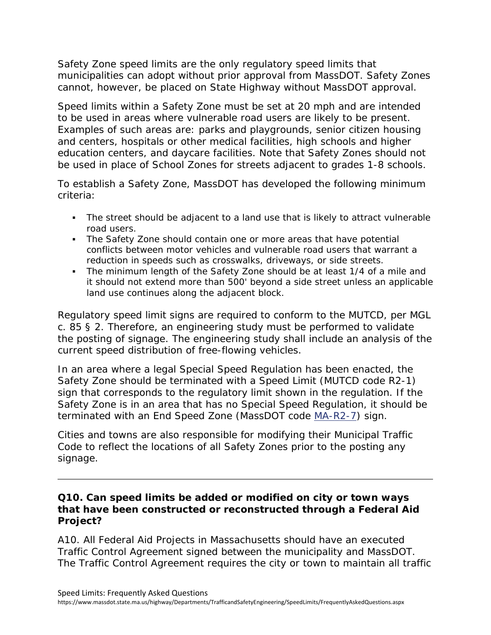Safety Zone speed limits are the only regulatory speed limits that municipalities can adopt without prior approval from MassDOT. Safety Zones cannot, however, be placed on State Highway without MassDOT approval.

Speed limits within a Safety Zone must be set at 20 mph and are intended to be used in areas where vulnerable road users are likely to be present. Examples of such areas are: parks and playgrounds, senior citizen housing and centers, hospitals or other medical facilities, high schools and higher education centers, and daycare facilities. Note that Safety Zones should not be used in place of School Zones for streets adjacent to grades 1-8 schools.

To establish a Safety Zone, MassDOT has developed the following minimum criteria:

- The street should be adjacent to a land use that is likely to attract vulnerable road users.
- conflicts between motor vehicles and vulnerable road users that warrant a The Safety Zone should contain one or more areas that have potential reduction in speeds such as crosswalks, driveways, or side streets.
- The minimum length of the Safety Zone should be at least 1/4 of a mile and it should not extend more than 500' beyond a side street unless an applicable land use continues along the adjacent block.

Regulatory speed limit signs are required to conform to the MUTCD, per MGL c. 85 § 2. Therefore, an engineering study must be performed to validate the posting of signage. The engineering study shall include an analysis of the current speed distribution of free-flowing vehicles.

In an area where a legal Special Speed Regulation has been enacted, the Safety Zone should be terminated with a Speed Limit (MUTCD code R2-1) sign that corresponds to the regulatory limit shown in the regulation. If the Safety Zone is in an area that has no Special Speed Regulation, it should be terminated with an End Speed Zone (MassDOT code MA-R2-7) sign.

Cities and towns are also responsible for modifying their Municipal Traffic Code to reflect the locations of all Safety Zones prior to the posting any signage.

#### **Q10. Can speed limits be added or modified on city or town ways that have been constructed or reconstructed through a Federal Aid Project?**

A10. All Federal Aid Projects in Massachusetts should have an executed Traffic Control Agreement signed between the municipality and MassDOT. The Traffic Control Agreement requires the city or town to maintain all traffic